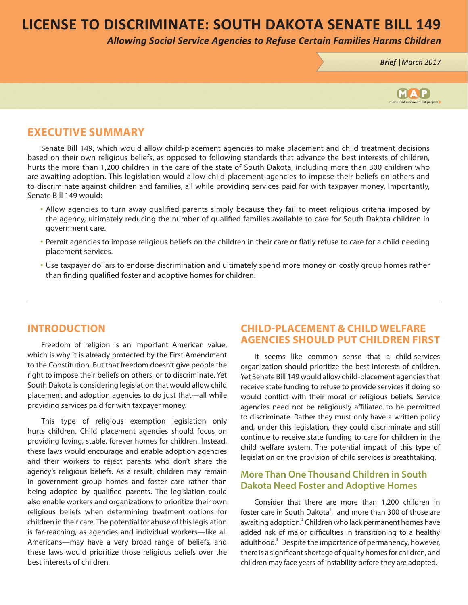# **LICENSE TO DISCRIMINATE: SOUTH DAKOTA SENATE BILL 149**

**Allowing Social Service Agencies to Refuse Certain Families Harms Children** 

Brief | March 2017



### **EXECUTIVE SUMMARY**

Senate Bill 149, which would allow child-placement agencies to make placement and child treatment decisions based on their own religious beliefs, as opposed to following standards that advance the best interests of children, hurts the more than 1,200 children in the care of the state of South Dakota, including more than 300 children who are awaiting adoption. This legislation would allow child-placement agencies to impose their beliefs on others and to discriminate against children and families, all while providing services paid for with taxpayer money. Importantly, Senate Bill 149 would:

- Allow agencies to turn away qualified parents simply because they fail to meet religious criteria imposed by the agency, ultimately reducing the number of qualified families available to care for South Dakota children in government care.
- Permit agencies to impose religious beliefs on the children in their care or flatly refuse to care for a child needing placement services.
- Use taxpayer dollars to endorse discrimination and ultimately spend more money on costly group homes rather than finding qualified foster and adoptive homes for children.

### **INTRODUCTION**

Freedom of religion is an important American value, which is why it is already protected by the First Amendment to the Constitution. But that freedom doesn't give people the right to impose their beliefs on others, or to discriminate. Yet South Dakota is considering legislation that would allow child placement and adoption agencies to do just that—all while providing services paid for with taxpayer money.

This type of religious exemption legislation only hurts children. Child placement agencies should focus on providing loving, stable, forever homes for children. Instead, these laws would encourage and enable adoption agencies and their workers to reject parents who don't share the agency's religious beliefs. As a result, children may remain in government group homes and foster care rather than being adopted by qualified parents. The legislation could also enable workers and organizations to prioritize their own religious beliefs when determining treatment options for children in their care. The potential for abuse of this legislation is far-reaching, as agencies and individual workers—like all Americans—may have a very broad range of beliefs, and these laws would prioritize those religious beliefs over the best interests of children.

### **CHILD-PLACEMENT & CHILD WELFARE AGENCIES SHOULD PUT CHILDREN FIRST**

It seems like common sense that a child-services organization should prioritize the best interests of children. Yet Senate Bill 149 would allow child-placement agencies that receive state funding to refuse to provide services if doing so would conflict with their moral or religious beliefs. Service agencies need not be religiously affiliated to be permitted to discriminate. Rather they must only have a written policy and, under this legislation, they could discriminate and still continue to receive state funding to care for children in the child welfare system. The potential impact of this type of legislation on the provision of child services is breathtaking.

### **More Than One Thousand Children in South Dakota Need Foster and Adoptive Homes**

Consider that there are more than 1,200 children in foster care in South Dakota<sup>1</sup>, and more than 300 of those are awaiting adoption.<sup>2</sup> Children who lack permanent homes have added risk of major difficulties in transitioning to a healthy adulthood.<sup>3</sup> Despite the importance of permanency, however, there is a significant shortage of quality homes for children, and children may face years of instability before they are adopted.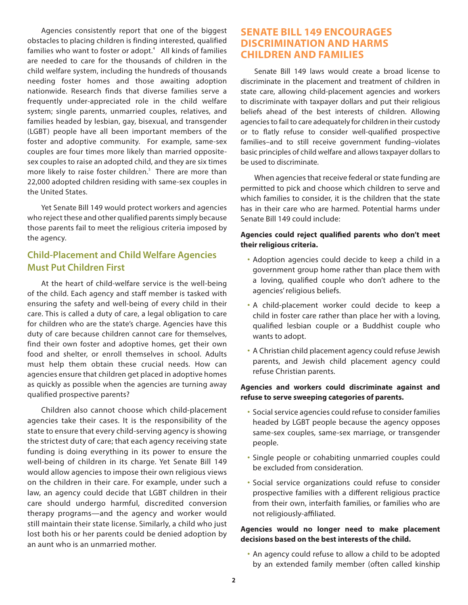Agencies consistently report that one of the biggest obstacles to placing children is finding interested, qualified families who want to foster or adopt. $4$  All kinds of families are needed to care for the thousands of children in the child welfare system, including the hundreds of thousands needing foster homes and those awaiting adoption nationwide. Research finds that diverse families serve a frequently under-appreciated role in the child welfare system; single parents, unmarried couples, relatives, and families headed by lesbian, gay, bisexual, and transgender (LGBT) people have all been important members of the foster and adoptive community. For example, same-sex couples are four times more likely than married oppositesex couples to raise an adopted child, and they are six times more likely to raise foster children.<sup>5</sup> There are more than 22,000 adopted children residing with same-sex couples in the United States.

Yet Senate Bill 149 would protect workers and agencies who reject these and other qualified parents simply because those parents fail to meet the religious criteria imposed by the agency.

## **Child-Placement and Child Welfare Agencies Must Put Children First**

At the heart of child-welfare service is the well-being of the child. Each agency and staff member is tasked with ensuring the safety and well-being of every child in their care. This is called a duty of care, a legal obligation to care for children who are the state's charge. Agencies have this duty of care because children cannot care for themselves, find their own foster and adoptive homes, get their own food and shelter, or enroll themselves in school. Adults must help them obtain these crucial needs. How can agencies ensure that children get placed in adoptive homes as quickly as possible when the agencies are turning away qualified prospective parents?

Children also cannot choose which child-placement agencies take their cases. It is the responsibility of the state to ensure that every child-serving agency is showing the strictest duty of care; that each agency receiving state funding is doing everything in its power to ensure the well-being of children in its charge. Yet Senate Bill 149 would allow agencies to impose their own religious views on the children in their care. For example, under such a law, an agency could decide that LGBT children in their care should undergo harmful, discredited conversion therapy programs—and the agency and worker would still maintain their state license. Similarly, a child who just lost both his or her parents could be denied adoption by an aunt who is an unmarried mother.

### **SENATE BILL 149 ENCOURAGES DISCRIMINATION AND HARMS CHILDREN AND FAMILIES**

Senate Bill 149 laws would create a broad license to discriminate in the placement and treatment of children in state care, allowing child-placement agencies and workers to discriminate with taxpayer dollars and put their religious beliefs ahead of the best interests of children. Allowing agencies to fail to care adequately for children in their custody or to flatly refuse to consider well-qualified prospective families–and to still receive government funding–violates basic principles of child welfare and allows taxpayer dollars to be used to discriminate.

When agencies that receive federal or state funding are permitted to pick and choose which children to serve and which families to consider, it is the children that the state has in their care who are harmed. Potential harms under Senate Bill 149 could include:

#### **Agencies could reject qualified parents who don't meet their religious criteria.**

- Adoption agencies could decide to keep a child in a government group home rather than place them with a loving, qualified couple who don't adhere to the agencies' religious beliefs.
- A child-placement worker could decide to keep a child in foster care rather than place her with a loving, qualified lesbian couple or a Buddhist couple who wants to adopt.
- A Christian child placement agency could refuse Jewish parents, and Jewish child placement agency could refuse Christian parents.

#### **Agencies and workers could discriminate against and refuse to serve sweeping categories of parents.**

- Social service agencies could refuse to consider families headed by LGBT people because the agency opposes same-sex couples, same-sex marriage, or transgender people.
- Single people or cohabiting unmarried couples could be excluded from consideration.
- Social service organizations could refuse to consider prospective families with a different religious practice from their own, interfaith families, or families who are not religiously-affiliated.

#### **Agencies would no longer need to make placement decisions based on the best interests of the child.**

• An agency could refuse to allow a child to be adopted by an extended family member (often called kinship